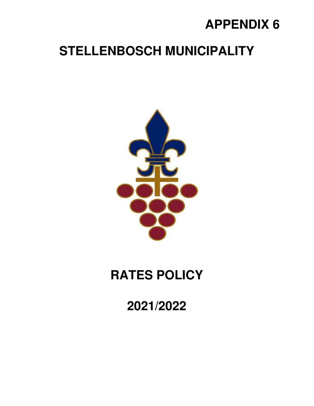# **APPENDIX 6**

# **STELLENBOSCH MUNICIPALITY**



# **RATES POLICY**

**2021/2022**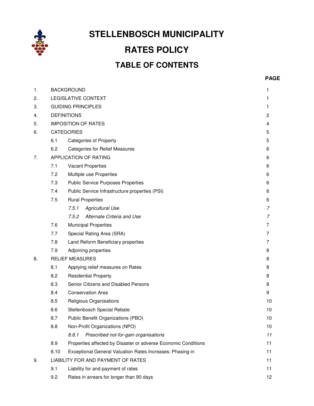

**STELLENBOSCH MUNICIPALITY** 

# **RATES POLICY TABLE OF CONTENTS**

| 1. |      | <b>BACKGROUND</b><br>1                                         |    |  |  |  |
|----|------|----------------------------------------------------------------|----|--|--|--|
| 2. |      | LEGISLATIVE CONTEXT<br>1                                       |    |  |  |  |
| 3. |      | <b>GUIDING PRINCIPLES</b>                                      |    |  |  |  |
| 4. |      | <b>DEFINITIONS</b>                                             |    |  |  |  |
| 5. |      | <b>IMPOSITION OF RATES</b>                                     |    |  |  |  |
| 6. |      | <b>CATEGORIES</b>                                              |    |  |  |  |
|    | 6.1  | <b>Categories of Property</b>                                  |    |  |  |  |
|    | 6.2  | <b>Categories for Relief Measures</b>                          |    |  |  |  |
| 7. |      | APPLICATION OF RATING                                          |    |  |  |  |
|    | 7.1  | <b>Vacant Properties</b>                                       |    |  |  |  |
|    | 7.2  | Multiple use Properties                                        | 6  |  |  |  |
|    | 7.3  | <b>Public Service Purposes Properties</b>                      | 6  |  |  |  |
|    | 7.4  | Public Service Infrastructure properties (PSI)                 | 6  |  |  |  |
|    | 7.5  | <b>Rural Properties</b>                                        | 6  |  |  |  |
|    |      | 7.5.1<br><b>Agricultural Use</b>                               | 7  |  |  |  |
|    |      | Alternate Criteria and Use<br>7.5.2                            | 7  |  |  |  |
|    | 7.6  | <b>Municipal Properties</b>                                    |    |  |  |  |
|    | 7.7  | Special Rating Area (SRA)                                      |    |  |  |  |
|    | 7.8  | Land Reform Beneficiary properties                             |    |  |  |  |
|    | 7.9  | Adjoining properties                                           |    |  |  |  |
| 8. |      | <b>RELIEF MEASURES</b>                                         |    |  |  |  |
|    | 8.1  | Applying relief measures on Rates                              |    |  |  |  |
|    | 8.2  | <b>Residential Property</b>                                    |    |  |  |  |
|    | 8.3  | Senior Citizens and Disabled Persons                           |    |  |  |  |
|    | 8.4  | <b>Conservation Area</b>                                       |    |  |  |  |
|    | 8.5  | Religious Organisations                                        |    |  |  |  |
|    | 8.6  | Stellenbosch Special Rebate                                    |    |  |  |  |
|    | 8.7  | Public Benefit Organizations (PBO)                             |    |  |  |  |
|    | 8.8  | Non-Profit Organizations (NPO)                                 |    |  |  |  |
|    |      | 8.8.1<br>Prescribed not-for-gain organisations                 | 11 |  |  |  |
|    | 8.9  | Properties affected by Disaster or adverse Economic Conditions |    |  |  |  |
|    | 8.10 | Exceptional General Valuation Rates Increases: Phasing in      |    |  |  |  |
| 9. |      | LIABILITY FOR AND PAYMENT OF RATES                             |    |  |  |  |
|    | 9.1  | Liability for and payment of rates                             |    |  |  |  |
|    | 9.2  | Rates in arrears for longer than 90 days                       |    |  |  |  |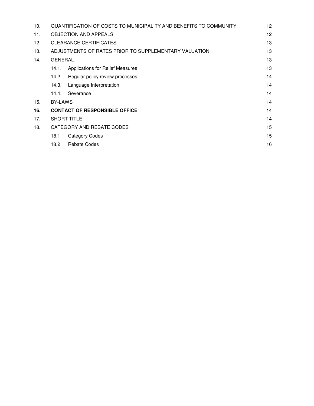| 10. | QUANTIFICATION OF COSTS TO MUNICIPALITY AND BENEFITS TO COMMUNITY |                                  |    |  |
|-----|-------------------------------------------------------------------|----------------------------------|----|--|
| 11. | <b>OBJECTION AND APPEALS</b>                                      |                                  |    |  |
| 12. | <b>CLEARANCE CERTIFICATES</b>                                     |                                  |    |  |
| 13. | ADJUSTMENTS OF RATES PRIOR TO SUPPLEMENTARY VALUATION             |                                  |    |  |
| 14. | <b>GENERAL</b>                                                    |                                  |    |  |
|     | 14.1.                                                             | Applications for Relief Measures | 13 |  |
|     | 14.2.                                                             | Regular policy review processes  | 14 |  |
|     | 14.3.                                                             | Language Interpretation          | 14 |  |
|     | 14.4.                                                             | Severance                        | 14 |  |
| 15. | <b>BY-LAWS</b>                                                    |                                  |    |  |
| 16. | <b>CONTACT OF RESPONSIBLE OFFICE</b>                              |                                  |    |  |
| 17. | <b>SHORT TITLE</b>                                                |                                  | 14 |  |
| 18. | CATEGORY AND REBATE CODES                                         |                                  |    |  |
|     | 18.1                                                              | Category Codes                   | 15 |  |
|     | 18.2                                                              | <b>Rebate Codes</b>              | 16 |  |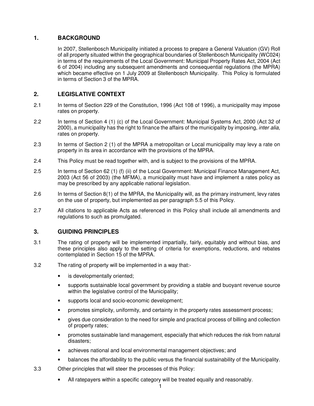# **1. BACKGROUND**

In 2007, Stellenbosch Municipality initiated a process to prepare a General Valuation (GV) Roll of all property situated within the geographical boundaries of Stellenbosch Municipality (WC024) in terms of the requirements of the Local Government: Municipal Property Rates Act, 2004 (Act 6 of 2004) including any subsequent amendments and consequential regulations (the MPRA) which became effective on 1 July 2009 at Stellenbosch Municipality. This Policy is formulated in terms of Section 3 of the MPRA.

# **2. LEGISLATIVE CONTEXT**

- 2.1 In terms of Section 229 of the Constitution, 1996 (Act 108 of 1996), a municipality may impose rates on property.
- 2.2 In terms of Section 4 (1) (c) of the Local Government: Municipal Systems Act, 2000 (Act 32 of 2000), a municipality has the right to finance the affairs of the municipality by imposing, *inter alia*, rates on property.
- 2.3 In terms of Section 2 (1) of the MPRA a metropolitan or Local municipality may levy a rate on property in its area in accordance with the provisions of the MPRA.
- 2.4 This Policy must be read together with, and is subject to the provisions of the MPRA.
- 2.5 In terms of Section 62 (1) (f) (ii) of the Local Government: Municipal Finance Management Act, 2003 (Act 56 of 2003) (the MFMA), a municipality must have and implement a rates policy as may be prescribed by any applicable national legislation.
- 2.6 In terms of Section 8(1) of the MPRA, the Municipality will, as the primary instrument, levy rates on the use of property, but implemented as per paragraph 5.5 of this Policy.
- 2.7 All citations to applicable Acts as referenced in this Policy shall include all amendments and regulations to such as promulgated.

# **3. GUIDING PRINCIPLES**

- 3.1 The rating of property will be implemented impartially, fairly, equitably and without bias, and these principles also apply to the setting of criteria for exemptions, reductions, and rebates contemplated in Section 15 of the MPRA.
- 3.2 The rating of property will be implemented in a way that:
	- is developmentally oriented;
	- supports sustainable local government by providing a stable and buoyant revenue source within the legislative control of the Municipality;
	- supports local and socio-economic development;
	- promotes simplicity, uniformity, and certainty in the property rates assessment process;
	- gives due consideration to the need for simple and practical process of billing and collection of property rates;
	- promotes sustainable land management, especially that which reduces the risk from natural disasters;
	- achieves national and local environmental management objectives; and
	- balances the affordability to the public versus the financial sustainability of the Municipality.
- 3.3 Other principles that will steer the processes of this Policy:
	- All ratepayers within a specific category will be treated equally and reasonably.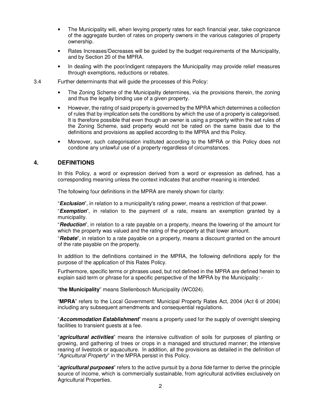- The Municipality will, when levying property rates for each financial year, take cognizance of the aggregate burden of rates on property owners in the various categories of property ownership.
- Rates Increases/Decreases will be guided by the budget requirements of the Municipality, and by Section 20 of the MPRA.
- In dealing with the poor/indigent ratepayers the Municipality may provide relief measures through exemptions, reductions or rebates.
- 3.4 Further determinants that will guide the processes of this Policy:
	- The Zoning Scheme of the Municipality determines, via the provisions therein, the zoning and thus the legally binding use of a given property.
	- However, the rating of said property is governed by the MPRA which determines a collection of rules that by implication sets the conditions by which the use of a property is categorised. It is therefore possible that even though an owner is using a property within the set rules of the Zoning Scheme, said property would not be rated on the same basis due to the definitions and provisions as applied according to the MPRA and this Policy.
	- Moreover, such categorisation instituted according to the MPRA or this Policy does not condone any unlawful use of a property regardless of circumstances.

# **4. DEFINITIONS**

In this Policy, a word or expression derived from a word or expression as defined, has a corresponding meaning unless the context indicates that another meaning is intended.

The following four definitions in the MPRA are merely shown for clarity:

"**Exclusion**", in relation to a municipality's rating power, means a restriction of that power.

"**Exemption**", in relation to the payment of a rate, means an exemption granted by a municipality.

"**Reduction**", in relation to a rate payable on a property, means the lowering of the amount for which the property was valued and the rating of the property at that lower amount.

"**Rebate**", in relation to a rate payable on a property, means a discount granted on the amount of the rate payable on the property.

In addition to the definitions contained in the MPRA, the following definitions apply for the purpose of the application of this Rates Policy.

Furthermore, specific terms or phrases used, but not defined in the MPRA are defined herein to explain said term or phrase for a specific perspective of the MPRA by the Municipality: -

"**the Municipality**" means Stellenbosch Municipality (WC024).

"**MPRA**" refers to the Local Government: Municipal Property Rates Act, 2004 (Act 6 of 2004) including any subsequent amendments and consequential regulations.

"**Accommodation Establishment**" means a property used for the supply of overnight sleeping facilities to transient guests at a fee.

"**agricultural activities**" means the intensive cultivation of soils for purposes of planting or growing, and gathering of trees or crops in a managed and structured manner; the intensive rearing of livestock or aquaculture. In addition, all the provisions as detailed in the definition of "Agricultural Property" in the MPRA persist in this Policy.

"**agricultural purposes**" refers to the active pursuit by a bona fide farmer to derive the principle source of income, which is commercially sustainable, from agricultural activities exclusively on Agricultural Properties.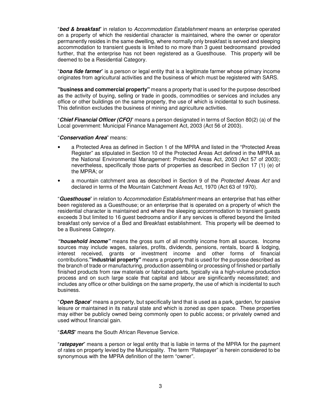"**bed & breakfast**" in relation to Accommodation Establishment means an enterprise operated on a property of which the residential character is maintained, where the owner or operator permanently resides in the same dwelling, where normally only breakfast is served and sleeping accommodation to transient guests is limited to no more than 3 guest bedroomsand provided further, that the enterprise has not been registered as a Guesthouse. This property will be deemed to be a Residential Category.

"**bona fide farmer**" is a person or legal entity that is a legitimate farmer whose primary income originates from agricultural activities and the business of which must be registered with SARS.

**"business and commercial property"** means a property that is used for the purpose described as the activity of buying, selling or trade in goods, commodities or services and includes any office or other buildings on the same property, the use of which is incidental to such business. This definition excludes the business of mining and agriculture activities.

"**Chief Financial Officer (CFO)**" means a person designated in terms of Section 80(2) (a) of the Local government: Municipal Finance Management Act, 2003 (Act 56 of 2003).

#### "**Conservation Area**" means:

- a Protected Area as defined in Section 1 of the MPRA and listed in the "Protected Areas Register" as stipulated in Section 10 of the Protected Areas Act defined in the MPRA as the National Environmental Management: Protected Areas Act, 2003 (Act 57 of 2003); nevertheless, specifically those parts of properties as described in Section 17 (1) (e) of the MPRA; or
- a mountain catchment area as described in Section 9 of the Protected Areas Act and declared in terms of the Mountain Catchment Areas Act, 1970 (Act 63 of 1970).

"**Guesthouse**" in relation to Accommodation Establishment means an enterprise that has either been registered as a Guesthouse; or an enterprise that is operated on a property of which the residential character is maintained and where the sleeping accommodation to transient guests exceeds 3 but limited to 16 guest bedrooms and/or if any services is offered beyond the limited breakfast only service of a Bed and Breakfast establishment. This property will be deemed to be a Business Category.

**"household income"** means the gross sum of all monthly income from all sources. Income sources may include wages, salaries, profits, dividends, pensions, rentals, board & lodging, interest received, grants or investment income and other forms of financial contributions.**"industrial property"** means a property that is used for the purpose described as the branch of trade or manufacturing, production assembling or processing of finished or partially finished products from raw materials or fabricated parts, typically via a high-volume production process and on such large scale that capital and labour are significantly necessitated; and includes any office or other buildings on the same property, the use of which is incidental to such business.

"**Open Space**" means a property, but specifically land that is used as a park, garden, for passive leisure or maintained in its natural state and which is zoned as open space. These properties may either be publicly owned being commonly open to public access; or privately owned and used without financial gain.

"**SARS**" means the South African Revenue Service.

"**ratepayer**" means a person or legal entity that is liable in terms of the MPRA for the payment of rates on property levied by the Municipality. The term "Ratepayer" is herein considered to be synonymous with the MPRA definition of the term "owner".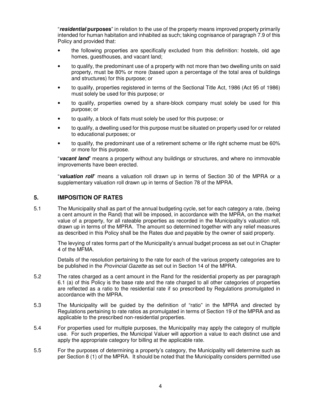"**residential purposes**" in relation to the use of the property means improved property primarily intended for human habitation and inhabited as such; taking cognisance of paragraph 7.9 of this Policy and provided that:

- the following properties are specifically excluded from this definition: hostels, old age homes, guesthouses, and vacant land;
- to qualify, the predominant use of a property with not more than two dwelling units on said property, must be 80% or more (based upon a percentage of the total area of buildings and structures) for this purpose; or
- to qualify, properties registered in terms of the Sectional Title Act, 1986 (Act 95 of 1986) must solely be used for this purpose; or
- to qualify, properties owned by a share-block company must solely be used for this purpose; or
- to qualify, a block of flats must solely be used for this purpose; or
- to qualify, a dwelling used for this purpose must be situated on property used for or related to educational purposes; or
- to qualify, the predominant use of a retirement scheme or life right scheme must be 60% or more for this purpose.

"**vacant land**" means a property without any buildings or structures, and where no immovable improvements have been erected.

"**valuation roll**" means a valuation roll drawn up in terms of Section 30 of the MPRA or a supplementary valuation roll drawn up in terms of Section 78 of the MPRA.

# **5. IMPOSITION OF RATES**

5.1 The Municipality shall as part of the annual budgeting cycle, set for each category a rate, (being a cent amount in the Rand) that will be imposed, in accordance with the MPRA, on the market value of a property, for all rateable properties as recorded in the Municipality's valuation roll, drawn up in terms of the MPRA. The amount so determined together with any relief measures as described in this Policy shall be the Rates due and payable by the owner of said property.

The levying of rates forms part of the Municipality's annual budget process as set out in Chapter 4 of the MFMA.

Details of the resolution pertaining to the rate for each of the various property categories are to be published in the Provincial Gazette as set out in Section 14 of the MPRA.

- 5.2 The rates charged as a cent amount in the Rand for the residential property as per paragraph 6.1 (a) of this Policy is the base rate and the rate charged to all other categories of properties are reflected as a ratio to the residential rate if so prescribed by Regulations promulgated in accordance with the MPRA.
- 5.3 The Municipality will be guided by the definition of "ratio" in the MPRA and directed by Regulations pertaining to rate ratios as promulgated in terms of Section 19 of the MPRA and as applicable to the prescribed non-residential properties.
- 5.4 For properties used for multiple purposes, the Municipality may apply the category of multiple use. For such properties, the Municipal Valuer will apportion a value to each distinct use and apply the appropriate category for billing at the applicable rate.
- 5.5 For the purposes of determining a property's category, the Municipality will determine such as per Section 8 (1) of the MPRA. It should be noted that the Municipality considers permitted use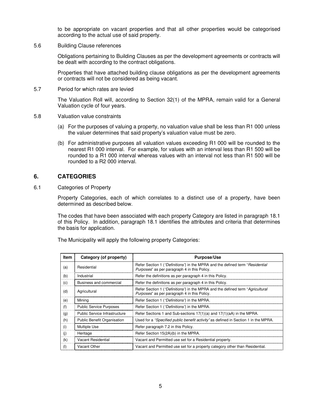to be appropriate on vacant properties and that all other properties would be categorised according to the actual use of said property.

5.6 Building Clause references

Obligations pertaining to Building Clauses as per the development agreements or contracts will be dealt with according to the contract obligations.

Properties that have attached building clause obligations as per the development agreements or contracts will not be considered as being vacant.

5.7 Period for which rates are levied

The Valuation Roll will, according to Section 32(1) of the MPRA, remain valid for a General Valuation cycle of four years.

- 5.8 Valuation value constraints
	- (a) For the purposes of valuing a property, no valuation value shall be less than R1 000 unless the valuer determines that said property's valuation value must be zero.
	- (b) For administrative purposes all valuation values exceeding R1 000 will be rounded to the nearest R1 000 interval. For example, for values with an interval less than R1 500 will be rounded to a R1 000 interval whereas values with an interval not less than R1 500 will be rounded to a R2 000 interval.

# **6. CATEGORIES**

6.1 Categories of Property

Property Categories, each of which correlates to a distinct use of a property, have been determined as described below.

The codes that have been associated with each property Category are listed in paragraph 18.1 of this Policy. In addition, paragraph 18.1 identifies the attributes and criteria that determines the basis for application.

The Municipality will apply the following property Categories:

| <b>Item</b> | Category (of property)             | <b>Purpose/Use</b>                                                                                                             |
|-------------|------------------------------------|--------------------------------------------------------------------------------------------------------------------------------|
| (a)         | Residential                        | Refer Section 1 ("Definitions") in the MPRA and the defined term "Residential<br>Purposes" as per paragraph 4 in this Policy.  |
| (b)         | Industrial                         | Refer the definitions as per paragraph 4 in this Policy.                                                                       |
| (c)         | Business and commercial            | Refer the definitions as per paragraph 4 in this Policy.                                                                       |
| (d)         | Agricultural                       | Refer Section 1 ("Definitions") in the MPRA and the defined term "Agricultural<br>Purposes" as per paragraph 4 in this Policy. |
| (e)         | Mining                             | Refer Section 1 ("Definitions") in the MPRA.                                                                                   |
| (f)         | <b>Public Service Purposes</b>     | Refer Section 1 ("Definitions") in the MPRA.                                                                                   |
| (g)         | Public Service Infrastructure      | Refer Sections 1 and Sub-sections 17(1)(a) and 17(1)(aA) in the MPRA.                                                          |
| (h)         | <b>Public Benefit Organisation</b> | Used for a "Specified public benefit activity" as defined in Section 1 in the MPRA.                                            |
| (i)         | <b>Multiple Use</b>                | Refer paragraph 7.2 in this Policy.                                                                                            |
| (i)         | Heritage                           | Refer Section 15(2A)(b) in the MPRA.                                                                                           |
| (k)         | Vacant Residential                 | Vacant and Permitted use set for a Residential property.                                                                       |
| (1)         | Vacant Other                       | Vacant and Permitted use set for a property category other than Residential.                                                   |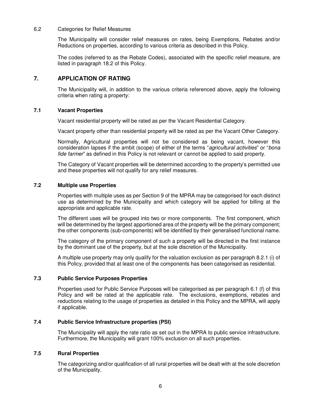#### 6.2 Categories for Relief Measures

The Municipality will consider relief measures on rates, being Exemptions, Rebates and/or Reductions on properties, according to various criteria as described in this Policy.

The codes (referred to as the Rebate Codes), associated with the specific relief measure, are listed in paragraph 18.2 of this Policy.

# **7. APPLICATION OF RATING**

The Municipality will, in addition to the various criteria referenced above, apply the following criteria when rating a property:

### **7.1 Vacant Properties**

Vacant residential property will be rated as per the Vacant Residential Category.

Vacant property other than residential property will be rated as per the Vacant Other Category.

Normally, Agricultural properties will not be considered as being vacant, however this consideration lapses if the ambit (scope) of either of the terms "agricultural activities" or "bona fide farmer" as defined in this Policy is not relevant or cannot be applied to said property.

The Category of Vacant properties will be determined according to the property's permitted use and these properties will not qualify for any relief measures.

#### **7.2 Multiple use Properties**

Properties with multiple uses as per Section 9 of the MPRA may be categorised for each distinct use as determined by the Municipality and which category will be applied for billing at the appropriate and applicable rate.

The different uses will be grouped into two or more components. The first component, which will be determined by the largest apportioned area of the property will be the primary component; the other components (sub-components) will be identified by their generalised functional name.

The category of the primary component of such a property will be directed in the first instance by the dominant use of the property, but at the sole discretion of the Municipality.

A multiple use property may only qualify for the valuation exclusion as per paragraph 8.2.1 (i) of this Policy, provided that at least one of the components has been categorised as residential.

#### **7.3 Public Service Purposes Properties**

Properties used for Public Service Purposes will be categorised as per paragraph 6.1 (f) of this Policy and will be rated at the applicable rate. The exclusions, exemptions, rebates and reductions relating to the usage of properties as detailed in this Policy and the MPRA, will apply if applicable.

#### **7.4 Public Service Infrastructure properties (PSI)**

The Municipality will apply the rate ratio as set out in the MPRA to public service infrastructure. Furthermore, the Municipality will grant 100% exclusion on all such properties.

#### **7.5 Rural Properties**

The categorizing and/or qualification of all rural properties will be dealt with at the sole discretion of the Municipality.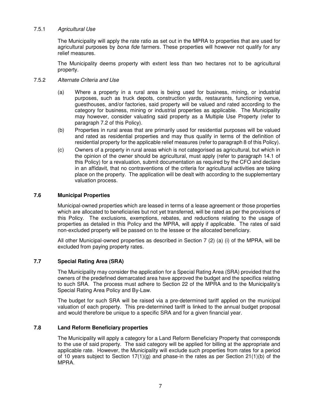#### 7.5.1 Agricultural Use

The Municipality will apply the rate ratio as set out in the MPRA to properties that are used for agricultural purposes by bona fide farmers. These properties will however not qualify for any relief measures.

The Municipality deems property with extent less than two hectares not to be agricultural property.

#### 7.5.2 Alternate Criteria and Use

- (a) Where a property in a rural area is being used for business, mining, or industrial purposes, such as truck depots, construction yards, restaurants, functioning venue, guesthouses, and/or factories, said property will be valued and rated according to the category for business, mining or industrial properties as applicable. The Municipality may however, consider valuating said property as a Multiple Use Property (refer to paragraph 7.2 of this Policy).
- (b) Properties in rural areas that are primarily used for residential purposes will be valued and rated as residential properties and may thus qualify in terms of the definition of residential property for the applicable relief measures (refer to paragraph 8 of this Policy).
- (c) Owners of a property in rural areas which is not categorised as agricultural, but which in the opinion of the owner should be agricultural, must apply (refer to paragraph 14.1 of this Policy) for a revaluation, submit documentation as required by the CFO and declare in an affidavit, that no contraventions of the criteria for agricultural activities are taking place on the property. The application will be dealt with according to the supplementary valuation process.

#### **7.6 Municipal Properties**

Municipal-owned properties which are leased in terms of a lease agreement or those properties which are allocated to beneficiaries but not yet transferred, will be rated as per the provisions of this Policy. The exclusions, exemptions, rebates, and reductions relating to the usage of properties as detailed in this Policy and the MPRA, will apply if applicable. The rates of said non-excluded property will be passed on to the lessee or the allocated beneficiary.

All other Municipal-owned properties as described in Section 7 (2) (a) (i) of the MPRA, will be excluded from paying property rates.

#### **7.7 Special Rating Area (SRA)**

The Municipality may consider the application for a Special Rating Area (SRA) provided that the owners of the predefined demarcated area have approved the budget and the specifics relating to such SRA. The process must adhere to Section 22 of the MPRA and to the Municipality's Special Rating Area Policy and By-Law.

The budget for such SRA will be raised via a pre-determined tariff applied on the municipal valuation of each property. This pre-determined tariff is linked to the annual budget proposal and would therefore be unique to a specific SRA and for a given financial year.

#### **7.8 Land Reform Beneficiary properties**

The Municipality will apply a category for a Land Reform Beneficiary Property that corresponds to the use of said property. The said category will be applied for billing at the appropriate and applicable rate. However, the Municipality will exclude such properties from rates for a period of 10 years subject to Section  $17(1)(q)$  and phase-in the rates as per Section  $21(1)(b)$  of the MPRA.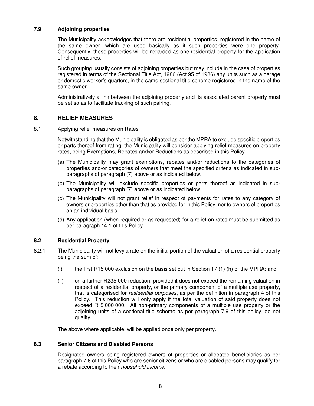#### **7.9 Adjoining properties**

The Municipality acknowledges that there are residential properties, registered in the name of the same owner, which are used basically as if such properties were one property. Consequently, these properties will be regarded as one residential property for the application of relief measures.

Such grouping usually consists of adjoining properties but may include in the case of properties registered in terms of the Sectional Title Act, 1986 (Act 95 of 1986) any units such as a garage or domestic worker's quarters, in the same sectional title scheme registered in the name of the same owner.

Administratively a link between the adjoining property and its associated parent property must be set so as to facilitate tracking of such pairing.

### **8. RELIEF MEASURES**

8.1 Applying relief measures on Rates

Notwithstanding that the Municipality is obligated as per the MPRA to exclude specific properties or parts thereof from rating, the Municipality will consider applying relief measures on property rates, being Exemptions, Rebates and/or Reductions as described in this Policy.

- (a) The Municipality may grant exemptions, rebates and/or reductions to the categories of properties and/or categories of owners that meet the specified criteria as indicated in subparagraphs of paragraph (7) above or as indicated below.
- (b) The Municipality will exclude specific properties or parts thereof as indicated in subparagraphs of paragraph (7) above or as indicated below.
- (c) The Municipality will not grant relief in respect of payments for rates to any category of owners or properties other than that as provided for in this Policy, nor to owners of properties on an individual basis.
- (d) Any application (when required or as requested) for a relief on rates must be submitted as per paragraph 14.1 of this Policy.

#### **8.2 Residential Property**

- 8.2.1 The Municipality will not levy a rate on the initial portion of the valuation of a residential property being the sum of:
	- (i) the first R15 000 exclusion on the basis set out in Section 17 (1) (h) of the MPRA; and
	- (ii) on a further R235 000 reduction, provided it does not exceed the remaining valuation in respect of a residential property, or the primary component of a multiple use property, that is categorised for residential purposes, as per the definition in paragraph 4 of this Policy. This reduction will only apply if the total valuation of said property does not exceed R 5 000 000. All non-primary components of a multiple use property or the adjoining units of a sectional title scheme as per paragraph 7.9 of this policy, do not qualify.

The above where applicable, will be applied once only per property.

#### **8.3 Senior Citizens and Disabled Persons**

Designated owners being registered owners of properties or allocated beneficiaries as per paragraph 7.6 of this Policy who are senior citizens or who are disabled persons may qualify for a rebate according to their household income.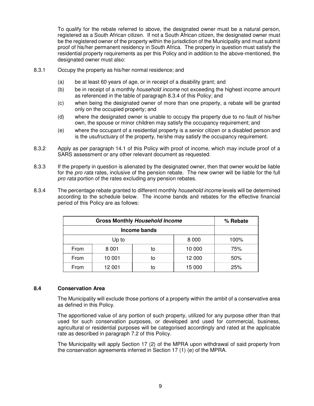To qualify for the rebate referred to above, the designated owner must be a natural person, registered as a South African citizen. If not a South African citizen, the designated owner must be the registered owner of the property within the jurisdiction of the Municipality and must submit proof of his/her permanent residency in South Africa. The property in question must satisfy the residential property requirements as per this Policy and in addition to the above-mentioned, the designated owner must also:

- 8.3.1 Occupy the property as his/her normal residence; and
	- (a) be at least 60 years of age, or in receipt of a disability grant; and
	- (b) be in receipt of a monthly *household income* not exceeding the highest income amount as referenced in the table of paragraph 8.3.4 of this Policy; and
	- (c) when being the designated owner of more than one property, a rebate will be granted only on the occupied property; and
	- (d) where the designated owner is unable to occupy the property due to no fault of his/her own, the spouse or minor children may satisfy the occupancy requirement; and
	- (e) where the occupant of a residential property is a senior citizen or a disabled person and is the usufructuary of the property, he/she may satisfy the occupancy requirement.
- 8.3.2 Apply as per paragraph 14.1 of this Policy with proof of income, which may include proof of a SARS assessment or any other relevant document as requested.
- 8.3.3 If the property in question is alienated by the designated owner, then that owner would be liable for the *pro rata* rates, inclusive of the pension rebate. The new owner will be liable for the full pro rata portion of the rates excluding any pension rebates.
- 8.3.4 The percentage rebate granted to different monthly *household income* levels will be determined according to the schedule below. The income bands and rebates for the effective financial period of this Policy are as follows:

| <b>Gross Monthly Household Income</b> |              |  |        | % Rebate |  |
|---------------------------------------|--------------|--|--------|----------|--|
|                                       | Income bands |  |        |          |  |
|                                       | Up to        |  | 8.000  | 100%     |  |
| From                                  | 8.001        |  | 10 000 | 75%      |  |
| From                                  | 10 001       |  | 12 000 | 50%      |  |
| From                                  | 12 001       |  | 15 000 | 25%      |  |

#### **8.4 Conservation Area**

The Municipality will exclude those portions of a property within the ambit of a conservative area as defined in this Policy.

The apportioned value of any portion of such property, utilized for any purpose other than that used for such conservation purposes, or developed and used for commercial, business, agricultural or residential purposes will be categorised accordingly and rated at the applicable rate as described in paragraph 7.2 of this Policy.

The Municipality will apply Section 17 (2) of the MPRA upon withdrawal of said property from the conservation agreements inferred in Section 17 (1) (e) of the MPRA.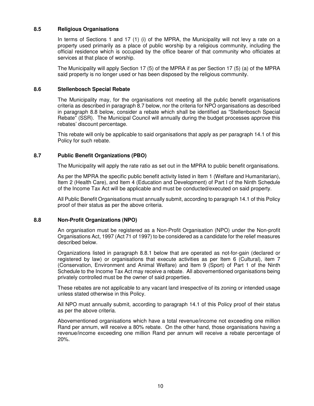#### **8.5 Religious Organisations**

In terms of Sections 1 and 17 (1) (i) of the MPRA, the Municipality will not levy a rate on a property used primarily as a place of public worship by a religious community, including the official residence which is occupied by the office bearer of that community who officiates at services at that place of worship.

The Municipality will apply Section 17 (5) of the MPRA if as per Section 17 (5) (a) of the MPRA said property is no longer used or has been disposed by the religious community.

#### **8.6 Stellenbosch Special Rebate**

The Municipality may, for the organisations not meeting all the public benefit organisations criteria as described in paragraph 8.7 below, nor the criteria for NPO organisations as described in paragraph 8.8 below, consider a rebate which shall be identified as "Stellenbosch Special Rebate" (SSR). The Municipal Council will annually during the budget processes approve this rebates' discount percentage.

This rebate will only be applicable to said organisations that apply as per paragraph 14.1 of this Policy for such rebate.

#### **8.7 Public Benefit Organizations (PBO)**

The Municipality will apply the rate ratio as set out in the MPRA to public benefit organisations.

As per the MPRA the specific public benefit activity listed in Item 1 (Welfare and Humanitarian), Item 2 (Health Care), and Item 4 (Education and Development) of Part I of the Ninth Schedule of the Income Tax Act will be applicable and must be conducted/executed on said property.

All Public Benefit Organisations must annually submit, according to paragraph 14.1 of this Policy proof of their status as per the above criteria.

#### **8.8 Non-Profit Organizations (NPO)**

An organisation must be registered as a Non-Profit Organisation (NPO) under the Non-profit Organisations Act, 1997 (Act 71 of 1997) to be considered as a candidate for the relief measures described below.

Organizations listed in paragraph 8.8.1 below that are operated as not-for-gain (declared or registered by law) or organisations that execute activities as per Item 6 (Cultural), item 7 (Conservation, Environment and Animal Welfare) and Item 9 (Sport) of Part 1 of the Ninth Schedule to the Income Tax Act may receive a rebate. All abovementioned organisations being privately controlled must be the owner of said properties.

These rebates are not applicable to any vacant land irrespective of its zoning or intended usage unless stated otherwise in this Policy.

All NPO must annually submit, according to paragraph 14.1 of this Policy proof of their status as per the above criteria.

Abovementioned organisations which have a total revenue/income not exceeding one million Rand per annum, will receive a 80% rebate. On the other hand, those organisations having a revenue/income exceeding one million Rand per annum will receive a rebate percentage of 20%.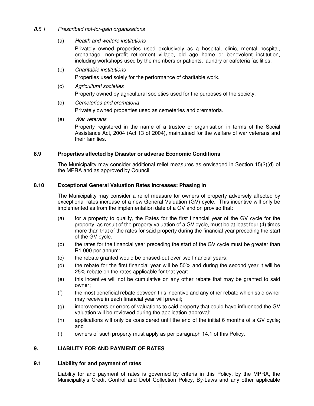#### 8.8.1 Prescribed not-for-gain organisations

(a) Health and welfare institutions

Privately owned properties used exclusively as a hospital, clinic, mental hospital, orphanage, non-profit retirement village, old age home or benevolent institution, including workshops used by the members or patients, laundry or cafeteria facilities.

(b) Charitable institutions

Properties used solely for the performance of charitable work.

- (c) Agricultural societies Property owned by agricultural societies used for the purposes of the society.
- (d) Cemeteries and crematoria

Privately owned properties used as cemeteries and crematoria.

(e) War veterans

Property registered in the name of a trustee or organisation in terms of the Social Assistance Act, 2004 (Act 13 of 2004), maintained for the welfare of war veterans and their families.

#### **8.9 Properties affected by Disaster or adverse Economic Conditions**

The Municipality may consider additional relief measures as envisaged in Section 15(2)(d) of the MPRA and as approved by Council.

#### **8.10 Exceptional General Valuation Rates Increases: Phasing in**

The Municipality may consider a relief measure for owners of property adversely affected by exceptional rates increase of a new General Valuation (GV) cycle. This incentive will only be implemented as from the implementation date of a GV and on proviso that:

- (a) for a property to qualify, the Rates for the first financial year of the GV cycle for the property, as result of the property valuation of a GV cycle, must be at least four (4) times more than that of the rates for said property during the financial year preceding the start of the GV cycle.
- (b) the rates for the financial year preceding the start of the GV cycle must be greater than R1 000 per annum;
- (c) the rebate granted would be phased-out over two financial years;
- (d) the rebate for the first financial year will be 50% and during the second year it will be 25% rebate on the rates applicable for that year;
- (e) this incentive will not be cumulative on any other rebate that may be granted to said owner;
- (f) the most beneficial rebate between this incentive and any other rebate which said owner may receive in each financial year will prevail;
- (g) improvements or errors of valuations to said property that could have influenced the GV valuation will be reviewed during the application approval;
- (h) applications will only be considered until the end of the initial 6 months of a GV cycle; and
- (i) owners of such property must apply as per paragraph 14.1 of this Policy.

#### **9. LIABILITY FOR AND PAYMENT OF RATES**

#### **9.1 Liability for and payment of rates**

Liability for and payment of rates is governed by criteria in this Policy, by the MPRA, the Municipality's Credit Control and Debt Collection Policy, By-Laws and any other applicable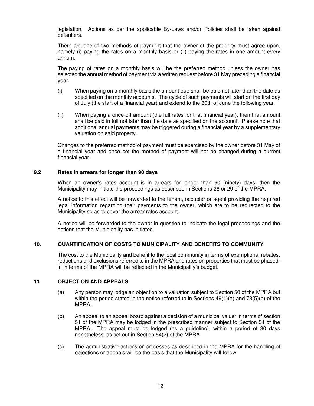legislation. Actions as per the applicable By-Laws and/or Policies shall be taken against defaulters.

There are one of two methods of payment that the owner of the property must agree upon, namely (i) paying the rates on a monthly basis or (ii) paying the rates in one amount every annum.

The paying of rates on a monthly basis will be the preferred method unless the owner has selected the annual method of payment via a written request before 31 May preceding a financial year.

- (i) When paying on a monthly basis the amount due shall be paid not later than the date as specified on the monthly accounts. The cycle of such payments will start on the first day of July (the start of a financial year) and extend to the 30th of June the following year.
- (ii) When paying a once-off amount (the full rates for that financial year), then that amount shall be paid in full not later than the date as specified on the account. Please note that additional annual payments may be triggered during a financial year by a supplementary valuation on said property.

Changes to the preferred method of payment must be exercised by the owner before 31 May of a financial year and once set the method of payment will not be changed during a current financial year.

#### **9.2 Rates in arrears for longer than 90 days**

When an owner's rates account is in arrears for longer than 90 (ninety) days, then the Municipality may initiate the proceedings as described in Sections 28 or 29 of the MPRA.

A notice to this effect will be forwarded to the tenant, occupier or agent providing the required legal information regarding their payments to the owner, which are to be redirected to the Municipality so as to cover the arrear rates account.

A notice will be forwarded to the owner in question to indicate the legal proceedings and the actions that the Municipality has initiated.

#### **10. QUANTIFICATION OF COSTS TO MUNICIPALITY AND BENEFITS TO COMMUNITY**

The cost to the Municipality and benefit to the local community in terms of exemptions, rebates, reductions and exclusions referred to in the MPRA and rates on properties that must be phasedin in terms of the MPRA will be reflected in the Municipality's budget.

#### **11. OBJECTION AND APPEALS**

- (a) Any person may lodge an objection to a valuation subject to Section 50 of the MPRA but within the period stated in the notice referred to in Sections  $49(1)(a)$  and  $78(5)(b)$  of the MPRA.
- (b) An appeal to an appeal board against a decision of a municipal valuer in terms of section 51 of the MPRA may be lodged in the prescribed manner subject to Section 54 of the MPRA. The appeal must be lodged (as a guideline), within a period of 30 days nonetheless, as set out in Section 54(2) of the MPRA.
- (c) The administrative actions or processes as described in the MPRA for the handling of objections or appeals will be the basis that the Municipality will follow.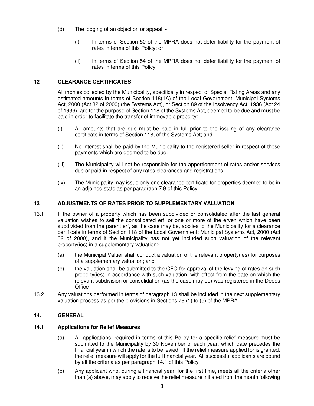- (d) The lodging of an objection or appeal:
	- (i) In terms of Section 50 of the MPRA does not defer liability for the payment of rates in terms of this Policy; or
	- (ii) In terms of Section 54 of the MPRA does not defer liability for the payment of rates in terms of this Policy.

### **12 CLEARANCE CERTIFICATES**

All monies collected by the Municipality, specifically in respect of Special Rating Areas and any estimated amounts in terms of Section 118(1A) of the Local Government: Municipal Systems Act, 2000 (Act 32 of 2000) (the Systems Act), or Section 89 of the Insolvency Act, 1936 (Act 24 of 1936), are for the purpose of Section 118 of the Systems Act, deemed to be due and must be paid in order to facilitate the transfer of immovable property:

- (i) All amounts that are due must be paid in full prior to the issuing of any clearance certificate in terms of Section 118, of the Systems Act; and
- (ii) No interest shall be paid by the Municipality to the registered seller in respect of these payments which are deemed to be due.
- (iii) The Municipality will not be responsible for the apportionment of rates and/or services due or paid in respect of any rates clearances and registrations.
- (iv) The Municipality may issue only one clearance certificate for properties deemed to be in an adjoined state as per paragraph 7.9 of this Policy.

#### **13 ADJUSTMENTS OF RATES PRIOR TO SUPPLEMENTARY VALUATION**

- 13.1 If the owner of a property which has been subdivided or consolidated after the last general valuation wishes to sell the consolidated erf, or one or more of the erven which have been subdivided from the parent erf, as the case may be, applies to the Municipality for a clearance certificate in terms of Section 118 of the Local Government: Municipal Systems Act, 2000 (Act 32 of 2000), and if the Municipality has not yet included such valuation of the relevant property(ies) in a supplementary valuation:-
	- (a) the Municipal Valuer shall conduct a valuation of the relevant property(ies) for purposes of a supplementary valuation; and
	- (b) the valuation shall be submitted to the CFO for approval of the levying of rates on such property(ies) in accordance with such valuation, with effect from the date on which the relevant subdivision or consolidation (as the case may be) was registered in the Deeds **Office**
- 13.2 Any valuations performed in terms of paragraph 13 shall be included in the next supplementary valuation process as per the provisions in Sections 78 (1) to (5) of the MPRA.

#### **14. GENERAL**

#### **14.1 Applications for Relief Measures**

- (a) All applications, required in terms of this Policy for a specific relief measure must be submitted to the Municipality by 30 November of each year, which date precedes the financial year in which the rate is to be levied. If the relief measure applied for is granted, the relief measure will apply for the full financial year. All successful applicants are bound by all the criteria as per paragraph 14.1 of this Policy.
- (b) Any applicant who, during a financial year, for the first time, meets all the criteria other than (a) above, may apply to receive the relief measure initiated from the month following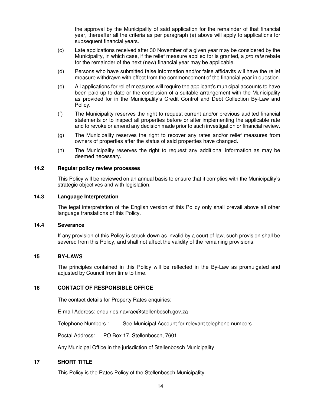the approval by the Municipality of said application for the remainder of that financial year, thereafter all the criteria as per paragraph (a) above will apply to applications for subsequent financial years.

- (c) Late applications received after 30 November of a given year may be considered by the Municipality, in which case, if the relief measure applied for is granted, a pro rata rebate for the remainder of the next (new) financial year may be applicable.
- (d) Persons who have submitted false information and/or false affidavits will have the relief measure withdrawn with effect from the commencement of the financial year in question.
- (e) All applications for relief measures will require the applicant's municipal accounts to have been paid up to date or the conclusion of a suitable arrangement with the Municipality as provided for in the Municipality's Credit Control and Debt Collection By-Law and Policy.
- (f) The Municipality reserves the right to request current and/or previous audited financial statements or to inspect all properties before or after implementing the applicable rate and to revoke or amend any decision made prior to such investigation or financial review.
- (g) The Municipality reserves the right to recover any rates and/or relief measures from owners of properties after the status of said properties have changed.
- (h) The Municipality reserves the right to request any additional information as may be deemed necessary.

#### **14.2 Regular policy review processes**

This Policy will be reviewed on an annual basis to ensure that it complies with the Municipality's strategic objectives and with legislation.

#### **14.3 Language Interpretation**

The legal interpretation of the English version of this Policy only shall prevail above all other language translations of this Policy.

#### **14.4 Severance**

If any provision of this Policy is struck down as invalid by a court of law, such provision shall be severed from this Policy, and shall not affect the validity of the remaining provisions.

#### **15 BY-LAWS**

The principles contained in this Policy will be reflected in the By-Law as promulgated and adjusted by Council from time to time.

#### **16 CONTACT OF RESPONSIBLE OFFICE**

The contact details for Property Rates enquiries:

E-mail Address: enquiries.navrae@stellenbosch.gov.za

Telephone Numbers : See Municipal Account for relevant telephone numbers

Postal Address: PO Box 17, Stellenbosch, 7601

Any Municipal Office in the jurisdiction of Stellenbosch Municipality

#### **17 SHORT TITLE**

This Policy is the Rates Policy of the Stellenbosch Municipality.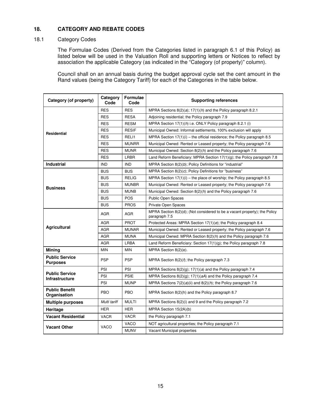### **18. CATEGORY AND REBATE CODES**

#### 18.1 Category Codes

The Formulae Codes (Derived from the Categories listed in paragraph 6.1 of this Policy) as listed below will be used in the Valuation Roll and supporting letters or Notices to reflect by association the applicable Category (as indicated in the "Category (of property)" column).

Council shall on an annual basis during the budget approval cycle set the cent amount in the Rand values (being the Category Tariff) for each of the Categories in the table below.

| Category (of property)                         | Category<br>Code | <b>Formulae</b><br>Code | <b>Supporting references</b>                                                                |  |
|------------------------------------------------|------------------|-------------------------|---------------------------------------------------------------------------------------------|--|
|                                                | <b>RES</b>       | <b>RES</b>              | MPRA Sections $8(2)(a)$ ; 17(1)( <i>h</i> ) and the Policy paragraph 8.2.1                  |  |
|                                                | <b>RES</b>       | <b>RESA</b>             | Adjoining residential; the Policy paragraph 7.9                                             |  |
|                                                | <b>RES</b>       | <b>RESM</b>             | MPRA Section $17(1)(h)$ i.e. ONLY Policy paragraph 8.2.1 (i)                                |  |
| <b>Residential</b>                             | <b>RES</b>       | <b>RESIF</b>            | Municipal Owned: Informal settlements, 100% exclusion will apply                            |  |
|                                                | <b>RES</b>       | RELI1                   | MPRA Section $17(1)(i)$ – the official residence; the Policy paragraph 8.5                  |  |
|                                                | <b>RES</b>       | <b>MUNRR</b>            | Municipal Owned: Rented or Leased property; the Policy paragraph 7.6                        |  |
|                                                | <b>RES</b>       | <b>MUNR</b>             | Municipal Owned: Section $8(2)(h)$ and the Policy paragraph 7.6                             |  |
|                                                | <b>RES</b>       | LRBR                    | Land Reform Beneficiary: MPRA Section $17(1)(g)$ ; the Policy paragraph 7.8                 |  |
| <b>Industrial</b>                              | <b>IND</b>       | <b>IND</b>              | MPRA Section 8(2)(b); Policy Definitions for "industrial"                                   |  |
|                                                | <b>BUS</b>       | <b>BUS</b>              | MPRA Section 8(2)(c); Policy Definitions for "business"                                     |  |
|                                                | <b>BUS</b>       | <b>RELIG</b>            | MPRA Section $17(1)(i)$ – the place of worship; the Policy paragraph 8.5                    |  |
| <b>Business</b>                                | <b>BUS</b>       | <b>MUNBR</b>            | Municipal Owned: Rented or Leased property; the Policy paragraph 7.6                        |  |
|                                                | <b>BUS</b>       | <b>MUNB</b>             | Municipal Owned: Section $8(2)(h)$ and the Policy paragraph 7.6                             |  |
|                                                | <b>BUS</b>       | <b>POS</b>              | <b>Public Open Spaces</b>                                                                   |  |
|                                                | <b>BUS</b>       | <b>PROS</b>             | Private Open Spaces                                                                         |  |
|                                                | AGR              | AGR                     | MPRA Section 8(2)(d); (Not considered to be a vacant property); the Policy<br>paragraph 7.5 |  |
|                                                | <b>AGR</b>       | <b>PROT</b>             | Protected Areas: MPRA Section $17(1)(e)$ ; the Policy paragraph 8.4                         |  |
| <b>Agricultural</b>                            | <b>AGR</b>       | <b>MUNAR</b>            | Municipal Owned: Rented or Leased property; the Policy paragraph 7.6                        |  |
|                                                | <b>AGR</b>       | <b>MUNA</b>             | Municipal Owned: MPRA Section 8(2)(h) and the Policy paragraph 7.6                          |  |
|                                                | <b>AGR</b>       | LRBA                    | Land Reform Beneficiary: Section $17(1)(g)$ ; the Policy paragraph 7.8                      |  |
| Mining                                         | <b>MIN</b>       | <b>MIN</b>              | MPRA Section 8(2)(e).                                                                       |  |
| <b>Public Service</b><br><b>Purposes</b>       | <b>PSP</b>       | <b>PSP</b>              | MPRA Section $8(2)(f)$ ; the Policy paragraph 7.3                                           |  |
|                                                | PSI              | PSI                     | MPRA Sections $8(2)(q)$ ; 17(1)(a) and the Policy paragraph 7.4                             |  |
| <b>Public Service</b><br><b>Infrastructure</b> | PSI              | <b>PSIE</b>             | MPRA Sections $8(2)(g)$ ; 17(1)( $aA$ ) and the Policy paragraph 7.4                        |  |
|                                                | PSI              | <b>MUNP</b>             | MPRA Sections $7(2)(a)(ii)$ and $8(2)(h)$ ; the Policy paragraph 7.6                        |  |
| <b>Public Benefit</b><br>Organisation          | <b>PBO</b>       | <b>PBO</b>              | MPRA Section 8(2)(h) and the Policy paragraph 8.7                                           |  |
| <b>Multiple purposes</b>                       | Multi tariff     | <b>MULTI</b>            | MPRA Sections 8(2)(i) and 9 and the Policy paragraph 7.2                                    |  |
| Heritage                                       | <b>HER</b>       | <b>HER</b>              | MPRA Section 15(2A)(b)                                                                      |  |
| <b>Vacant Residential</b>                      | <b>VACR</b>      | <b>VACR</b>             | the Policy paragraph 7.1                                                                    |  |
|                                                | <b>VACO</b>      |                         | NOT agricultural properties; the Policy paragraph 7.1                                       |  |
| <b>Vacant Other</b>                            | <b>VACO</b>      | <b>MUNV</b>             | Vacant Municipal properties                                                                 |  |